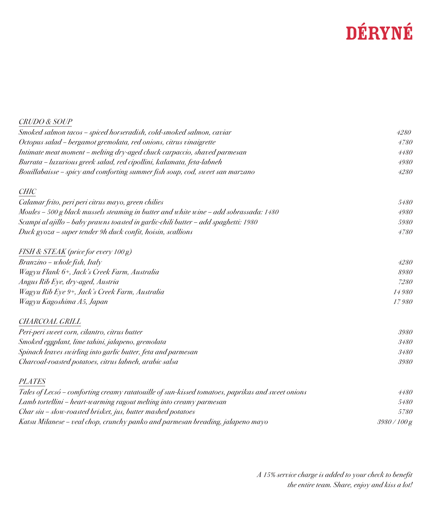## DÉRYNÉ

| <b>CRUDO &amp; SOUP</b>                                                                          |              |
|--------------------------------------------------------------------------------------------------|--------------|
| Smoked salmon tacos - spiced horseradish, cold-smoked salmon, caviar                             | 4280         |
| Octopus salad - bergamot gremolata, red onions, citrus vinaigrette                               | 4780         |
| Intimate meat moment – melting dry-aged chuck carpaccio, shaved parmesan                         | 4480         |
| Burrata – luxurious greek salad, red cipollini, kalamata, feta-labneh                            | 4980         |
| Bouillabaisse - spicy and comforting summer fish soup, cod, sweet san marzano                    | 4280         |
| <b>CHIC</b>                                                                                      |              |
| Calamar frito, peri peri citrus mayo, green chilies                                              | 5480         |
| Moules - 500 g black mussels steaming in butter and white wine - add sobrassada: 1480            | 4980         |
| Scampi al ajillo - baby prawns toasted in garlic-chili butter - add spaghetti: 1980              | 5980         |
| Duck gyoza – super tender 9h duck confit, hoisin, scallions                                      | 4780         |
| FISH & STEAK (price for every 100 g)                                                             |              |
| Branzino - whole fish, Italy                                                                     | 4280         |
| Wagyu Flank 6+, Jack's Creek Farm, Australia                                                     | 8980         |
| Angus Rib Eye, dry-aged, Austria                                                                 | 7280         |
| Wagyu Rib Eye 9+, Jack's Creek Farm, Australia                                                   | 14980        |
| Wagyu Kagoshima A5, Japan                                                                        | 17980        |
| <b>CHARCOAL GRILL</b>                                                                            |              |
| Peri-peri sweet corn, cilantro, citrus butter                                                    | 3980         |
| Smoked eggplant, lime tahini, jalapeno, gremolata                                                | 3480         |
| Spinach leaves swirling into garlic butter, feta and parmesan                                    | 3480         |
| Charcoal-roasted potatoes, citrus labneh, arabic salsa                                           | 3980         |
| <b>PLATES</b>                                                                                    |              |
| Tales of Lecsó – comforting creamy ratatouille of sun-kissed tomatoes, paprikas and sweet onions | 4480         |
| Lamb tortellini - heart-warming ragout melting into creamy parmesan                              | 5480         |
| Char siu - slow-roasted brisket, jus, butter mashed potatoes                                     | 5780         |
| Katsu Milanese – veal chop, crunchy panko and parmesan breading, jalapeno mayo                   | 3980 / 100 g |